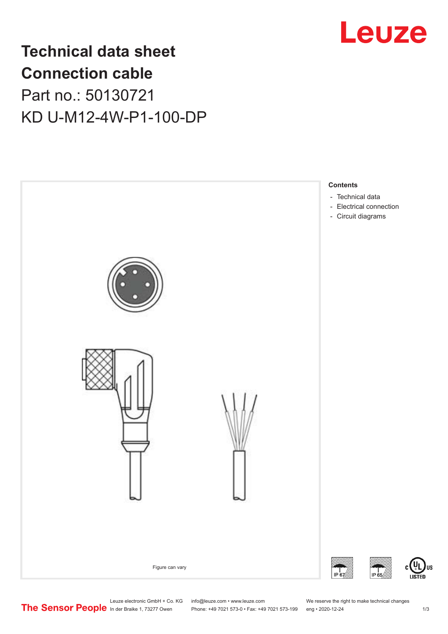

## **Technical data sheet Connection cable** Part no.: 50130721 KD U-M12-4W-P1-100-DP



Leuze electronic GmbH + Co. KG info@leuze.com • www.leuze.com We reserve the right to make technical changes<br>
The Sensor People in der Braike 1, 73277 Owen Phone: +49 7021 573-0 • Fax: +49 7021 573-199 eng • 2020-12-24

Phone: +49 7021 573-0 • Fax: +49 7021 573-199 eng • 2020-12-24 1 2020-12-24

US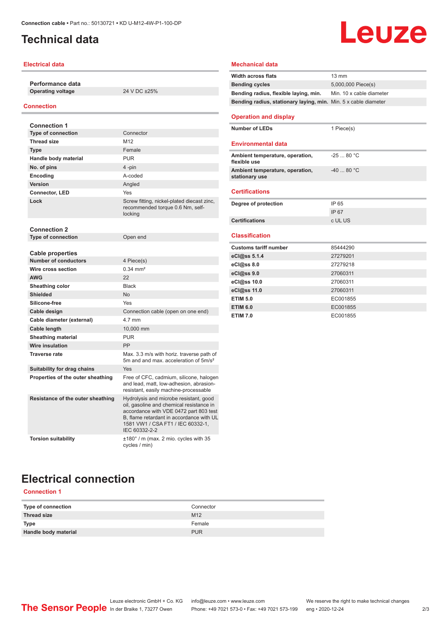## <span id="page-1-0"></span>**Technical data**

#### **Electrical data**

**Performance data Operating voltage** 24 V DC ±25%

#### **Connection**

| <b>Connection 1</b>               |                                                                                                                                                                                                                                |
|-----------------------------------|--------------------------------------------------------------------------------------------------------------------------------------------------------------------------------------------------------------------------------|
| <b>Type of connection</b>         | Connector                                                                                                                                                                                                                      |
| <b>Thread size</b>                | M12                                                                                                                                                                                                                            |
| <b>Type</b>                       | Female                                                                                                                                                                                                                         |
| Handle body material              | <b>PUR</b>                                                                                                                                                                                                                     |
| No. of pins                       | 4-pin                                                                                                                                                                                                                          |
| Encoding                          | A-coded                                                                                                                                                                                                                        |
| Version                           | Angled                                                                                                                                                                                                                         |
| <b>Connector, LED</b>             | Yes                                                                                                                                                                                                                            |
| Lock                              | Screw fitting, nickel-plated diecast zinc,<br>recommended torque 0.6 Nm, self-<br>locking                                                                                                                                      |
| <b>Connection 2</b>               |                                                                                                                                                                                                                                |
| <b>Type of connection</b>         | Open end                                                                                                                                                                                                                       |
| <b>Cable properties</b>           |                                                                                                                                                                                                                                |
| <b>Number of conductors</b>       | 4 Piece(s)                                                                                                                                                                                                                     |
| Wire cross section                | $0.34 \, \text{mm}^2$                                                                                                                                                                                                          |
| <b>AWG</b>                        | 22                                                                                                                                                                                                                             |
| Sheathing color                   | <b>Black</b>                                                                                                                                                                                                                   |
| <b>Shielded</b>                   | N <sub>o</sub>                                                                                                                                                                                                                 |
| Silicone-free                     | Yes                                                                                                                                                                                                                            |
| Cable design                      | Connection cable (open on one end)                                                                                                                                                                                             |
| Cable diameter (external)         | 4.7 mm                                                                                                                                                                                                                         |
| Cable length                      | 10.000 mm                                                                                                                                                                                                                      |
| <b>Sheathing material</b>         | <b>PUR</b>                                                                                                                                                                                                                     |
| Wire insulation                   | PP                                                                                                                                                                                                                             |
| <b>Traverse rate</b>              | Max. 3.3 m/s with horiz. traverse path of<br>5m and and max, acceleration of 5m/s <sup>2</sup>                                                                                                                                 |
| Suitability for drag chains       | Yes                                                                                                                                                                                                                            |
| Properties of the outer sheathing | Free of CFC, cadmium, silicone, halogen<br>and lead, matt, low-adhesion, abrasion-<br>resistant, easily machine-processable                                                                                                    |
| Resistance of the outer sheathing | Hydrolysis and microbe resistant, good<br>oil, gasoline and chemical resistance in<br>accordance with VDE 0472 part 803 test<br>B, flame retardant in accordance with UL<br>1581 VW1 / CSA FT1 / IEC 60332-1,<br>IEC 60332-2-2 |
| <b>Torsion suitability</b>        | $\pm 180^\circ$ / m (max. 2 mio. cycles with 35<br>cycles / min)                                                                                                                                                               |

# **Leuze**

#### **Mechanical data**

| <b>Width across flats</b>                                       | $13 \text{ mm}$          |
|-----------------------------------------------------------------|--------------------------|
| <b>Bending cycles</b>                                           | 5,000,000 Piece(s)       |
| Bending radius, flexible laying, min.                           | Min. 10 x cable diameter |
| Bending radius, stationary laying, min. Min. 5 x cable diameter |                          |
|                                                                 |                          |
| <b>Operation and display</b>                                    |                          |
| <b>Number of LEDs</b>                                           | 1 Piece(s)               |
|                                                                 |                          |
| <b>Environmental data</b>                                       |                          |
| Ambient temperature, operation,                                 | $-2580 °C$               |
| flexible use                                                    |                          |
| Ambient temperature, operation,                                 | $-4080 °C$               |
| stationary use                                                  |                          |
| <b>Certifications</b>                                           |                          |
|                                                                 |                          |
|                                                                 |                          |
| Degree of protection                                            | IP 65                    |
|                                                                 | IP 67                    |
| <b>Certifications</b>                                           | c UL US                  |
|                                                                 |                          |
| <b>Classification</b>                                           |                          |
| <b>Customs tariff number</b>                                    | 85444290                 |
| eCl@ss 5.1.4                                                    | 27279201                 |
| eCl@ss 8.0                                                      | 27279218                 |
| eCl@ss 9.0                                                      | 27060311                 |
| eCl@ss 10.0                                                     | 27060311                 |
| eCl@ss 11.0                                                     | 27060311                 |
| <b>ETIM 5.0</b>                                                 | EC001855                 |
| <b>ETIM 6.0</b>                                                 | EC001855                 |

## **Electrical connection**

### **Connection 1**

| Type of connection   | Connector       |
|----------------------|-----------------|
| Thread size          | M <sub>12</sub> |
| <b>Type</b>          | Female          |
| Handle body material | <b>PUR</b>      |